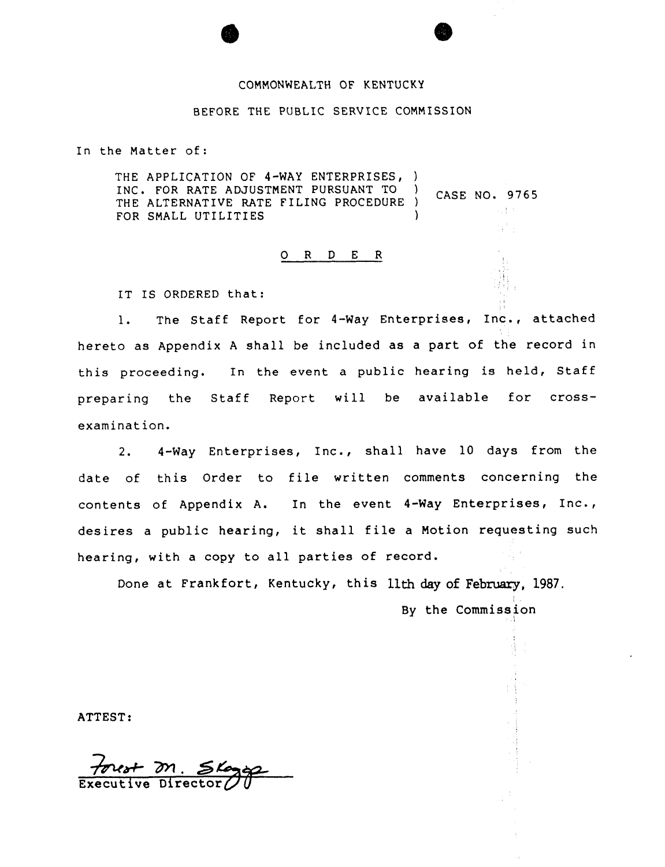### COMMONWEALTH OF KENTUCKY

### BEFORE THE PUBLIC SERVICE COMMISSION

In the Matter of:

THE APPLICATION OF 4-WAY ENTERPRISES, ) INC. FOR RATE ADJUSTMENT PURSUANT TO (CASE NO. 9765 THE ALTERNATIVE RATE FILING PROCEDURE ) gija. FOR SMALL UTILITIES

## 0 <sup>R</sup> <sup>D</sup> <sup>E</sup> <sup>R</sup>

IT IS ORDERED that:

1. The Staff Report for 4-Way Enterprises, Inc., attached hereto as Appendix <sup>A</sup> shall be included as <sup>a</sup> part of the record in this proceeding. In the event <sup>a</sup> public hearing is held, Staff preparing the Staff Report will be available for crossexamination.

2. 4-Way Enterprises, Inc., shall have 10 days from the date of. this Order to file written comments concerning the contents of Appendix A. In the event 4-Way Enterprises, Inc., desires <sup>a</sup> public hearing, it shall file <sup>a</sup> Motion requesting such hearing, with a copy to all parties of record.

Done at Frankfort, Kentucky, this llth day of February, 1987. By the Commission

ATTEST:

 $Executive$  Director $@$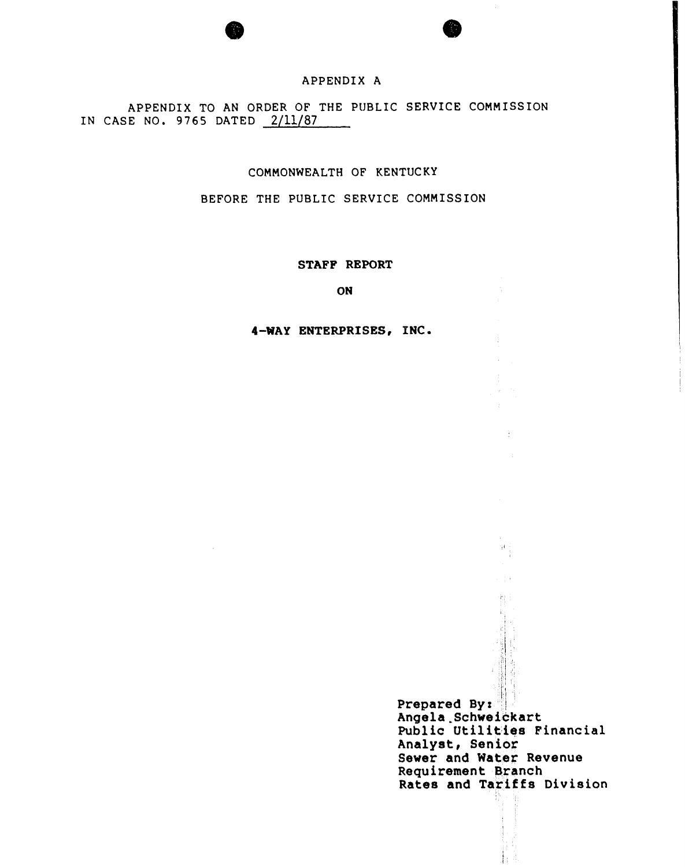# APPENDIX A

APPENDIX TO AN ORDER OF THE PUBLIC SERVICE COMMISSION IN CASE NO. 9765 DATED 2/11/87

# COMMONWEALTH OF KENTUC KY

BEFORE THE PUBLIC SERVICE COMMISSION

### STAFP REPORT

ON

## 4-WAY ENTERPRISES, INC.

Prepared By: Angela Schweickart Public Utilities Financial Analyst:, Senior Sewer and Water Revenue Requirement Branch Rates and Tariffs Division

 $\frac{1}{2}$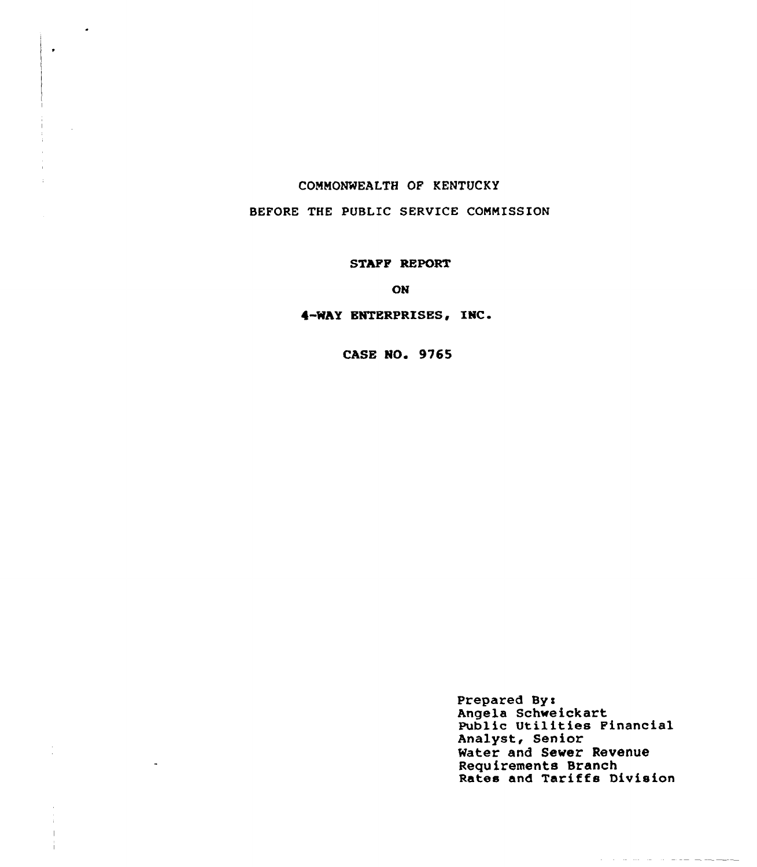# CONNONNEALTH GF KENTUCKY

 $\bullet$ 

# BEFORE THE PUBLIC SERVICE CONNISSION

### STAPP REPORT

ON

# 4-WAY ENTERPRISES, INC.

**CASE NO. 9765** 

Prepared Bys Angela Schweickart Public Utilities Financial Analyst, Senior Water and Sever Revenue Requirements Branch Rates and Tariffs Divisio

والمستركب والمستردين والمتراوية والمراوية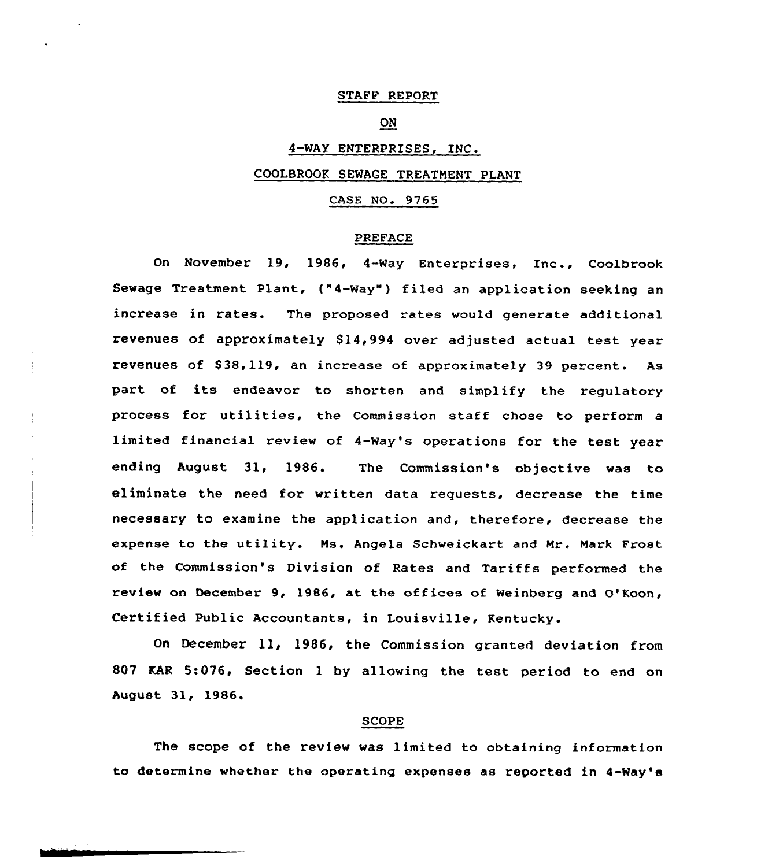# STAFF REPORT

# ON

# 4-WAY ENTERPRISES, INC.

# COOLBROQK SEWAGE TREATMENT PLANT

# CASE NO. 9765

# PREFACE

On November 19, 1986, 4-Way Enterprises, Inc., Coolbrook Sewage Treatment Plant, ("4-Way") filed an application seeking an increase in rates. The proposed rates would generate additional revenues of approximately \$14,994 over adjusted actual test year revenues of \$38,119, an increase of approximately 39 percent. As part of its endeavor to shorten and simplify the regulatory process for utilities, the Commission staff chose to perform <sup>a</sup> limited financial review of 4-Way's operations for the test year ending August 31, 1986. The Commission's objective was to eliminate the need for written data requests, decrease the time necessary to examine the application and, therefore, decrease the expense to the utility. Ns. Angela Schweickart and Nr. Nark Frost of the Commission's Division of Rates and Tariffs performed the review on December 9, 1986, at the offices of Weinberg and O'Koon, Certified Public Accountants, in Louisville, Kentucky.

On December 11, 1986, the Commission granted deviation from 807 EAR 5:076, Section <sup>1</sup> by allowing the test period to end on August 31, 1986.<br>
SCOPE

The scope of the review was limited to obtaining information to determine whether the operating expenses as reported in 4-Way'8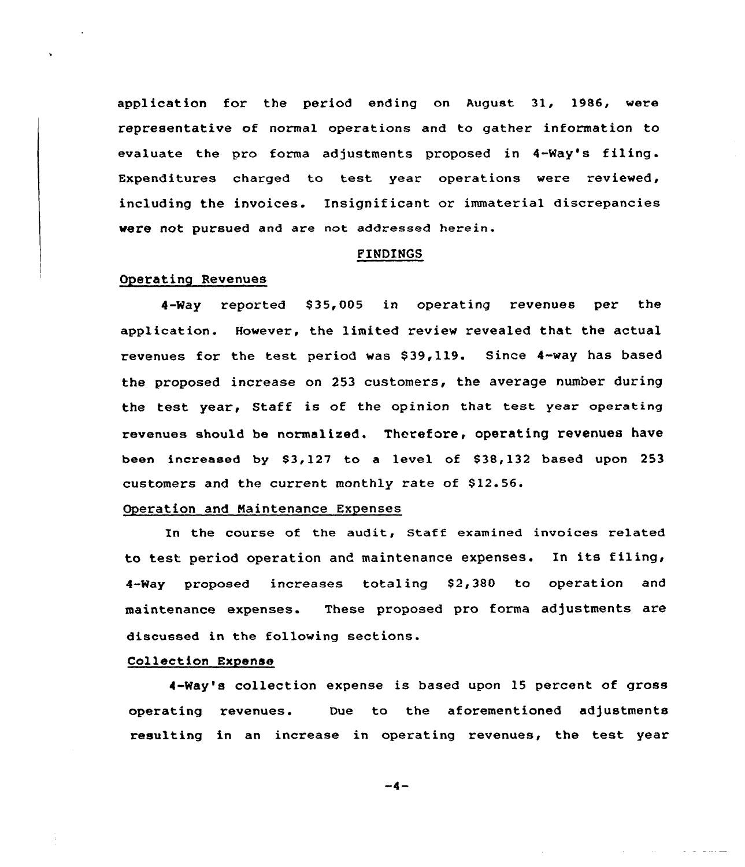application for the period ending on August 31, 1986, were representative of normal operations and to gather information to evaluate the pro forma adjustments proposed in 4-Way's filing. Expenditures charged to test year operations vere reviewed, including the invoices. Insignificant or immaterial discrepancies were not pursued and are not addressed herein.

### FINDINGS

## Operating Revenues

4-Way reported \$35,005 in operating revenues per the application. However, the limited review revealed that the actual revenues for the test period was \$39,119. Since 4-way has based the proposed increase on 253 customers, the average number during the test year, Staff is of the opinion that test year operating revenues should be normalized. Therefore, operating revenues have been increased by  $$3,127$  to a level of  $$38,132$  based upon 253 customers and the current monthly rate of \$12.56.

### Operation and Maintenance Expenses

In the course of the audit, Staff examined invoices related to test period operation and maintenance expenses. In its filing, 4-Way proposed increases totaling \$2,380 to operation and maintenance expenses. These proposed pro forma adjustments are discussed in the following sections.

# Collection Expense

4-Way's collection expense is based upon 15 percent of gross operating revenues. Due to the aforementioned adjustments resulting in an increase in operating revenues, the test year

 $-4-$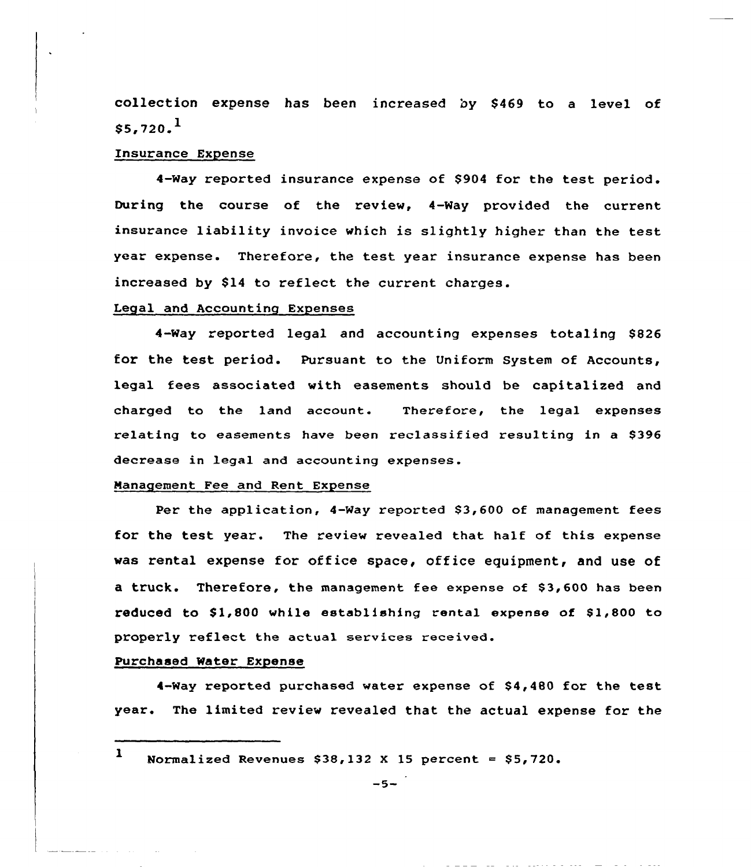collection expense has been increased by \$469 to a level of  $$5,720.<sup>1</sup>$ 

### Insurance Expense

4-way reported insurance expense of 8904 for the test period. During the course of the review, 4-Way provided the current insurance liability invoice which is slightly higher than the test year expense. Therefore, the test year insurance expense has been increased by \$14 to reflect the current charges.

### Legal and Accounting Expenses

4-Way reported legal and accounting expenses totaling BB26 for the test period. Pursuant to the Uniform System of Accounts, legal fees associated with easements should be capitalized and charged to the land account. Therefore, the legal expenses relating to easements have been reclassified resulting in a 8396 decrease in legal and accounting expenses.

### Management Fee and Rent Expense

Per the application, 4-Way reported \$3,600 of management fees for the test year. The review revealed that half of this expense was rental expense for office space, office equipment, and use of a truck. Therefore, the management fee expense of \$3,600 has been reduced to \$1,800 while establishing rental expense of \$1,800 to properly reflect the actual services received.

# Purchased Water Expense

4-Way reported purchased water expense of \$4,480 for the test year. The limited review revealed that the actual expense for the

1 Normalized Revenues  $$38,132$  X 15 percent =  $$5,720$ .

a complete contractor of the second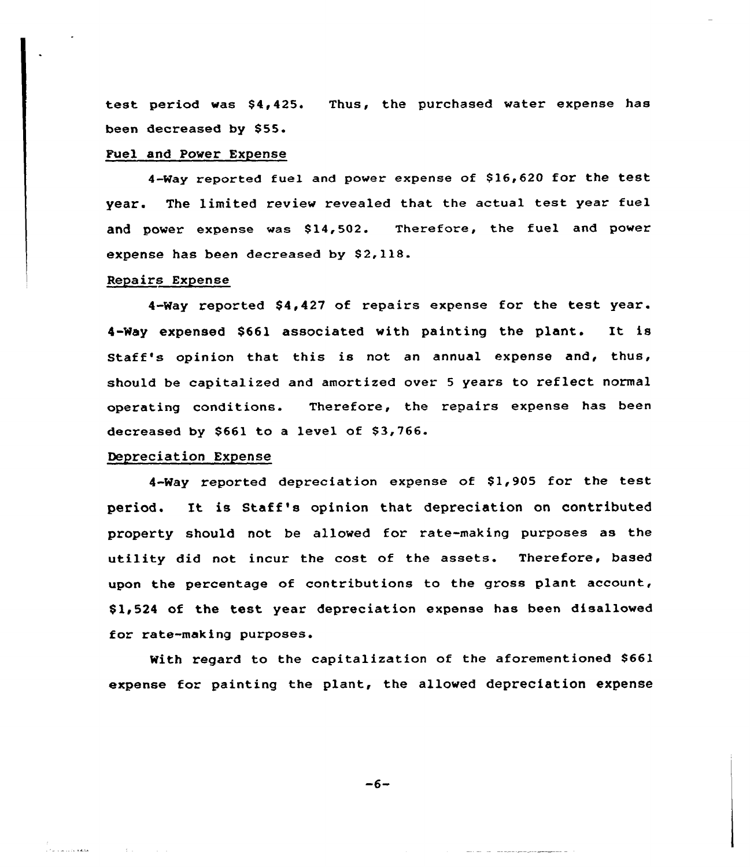test period was \$4,425. Thus, the purchased water expense has been decreased by \$55.

### Fuel and Power Expense

4-Way reported fuel and power expense of \$16,620 for the test year. The limited review revealed that the actual test year fuel and power expense was \$14,502. Therefore, the fuel and power expense has been decreased by \$2,118.

## Repairs Expense

4-Way reported \$4,427 of repairs expense for the test year. 4-Way expensed \$661 associated with painting the plant. It is Staff's opinion that this is not an annual expense and, thus, should be capitalized and amortized over <sup>5</sup> years to reflect normal operating conditions. Therefore, the repairs expense has been decreased by \$661 to a level of \$3,766.

### Depreciation Expense

)<br>Liha sampangan

**Contractor** 

4-Way reported depreciation expense of \$1,905 for the test period. It is Staff's opinion that depreciation on contributed property should not be allowed for rate-making purposes as the utility did not incur the cost of the assets. Therefore, based upon the percentage of contributions to the gross plant account, \$ 1,524 of the test year depreciation expense has been disallowed for rate-making purposes.

With regard to the capitalization of the aforementioned \$661 expense for painting the plant, the allowed depreciation expense

 $-6-$ 

<u>and an international programmation</u>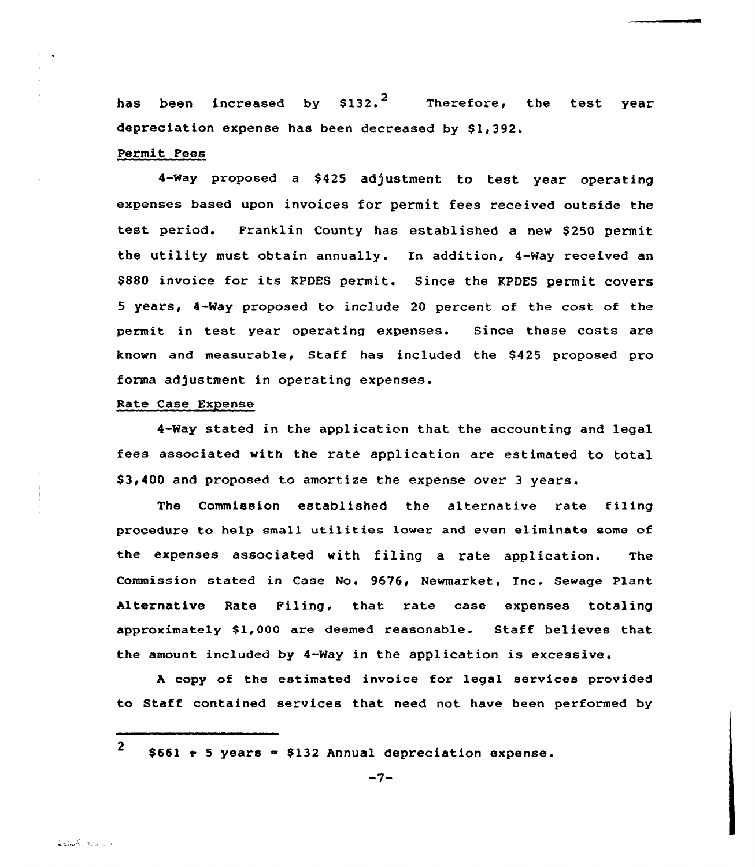has been increased by  $$132.^2$  Therefore, the test year depreciation expense has been decreased by \$1,392.

### Permit Fees

4-Way proposed a \$425 adjustment to test vear operating expenses based upon invoices for permit fees received outside the test period. Franklin County has established a new \$250 permit the utility must obtain annually. In addition, 4-Way received an \$880 invoice for its KPDES permit. Since the KPDES permit covers 5 years, 4-Way proposed to include 20 percent of the cost of the permit in test year operating expenses. Since these costs are known and measurable, Staff has included the \$ 425 proposed pro forma adjustment in operating expenses.

# Rate Case Expense

4-Way stated in the applicaticn that the accounting and legal fees associated with the rate application are estimated to total \$ 3,400 and proposed to amortize the expense over <sup>3</sup> years.

The Commission established the alternative rate fi1ing procedure to help small utilities lower and even eliminate some of the expenses associated with filing a rate application. The Commission stated in Case No. 9676, Newmarket, Inc. Sewage Plant Alternative Rate Filing, that rate case expenses totaling approximately \$1,000 are deemed reasonable. Staff believes that the amount included by 4-Way in the application is excessive.

<sup>A</sup> copy of the estimated invoice for legal services provided to Staff contained services that need not have been performed by

<sup>2</sup>  $$661$   $\rightarrow$  5 years = \$132 Annual depreciation expense.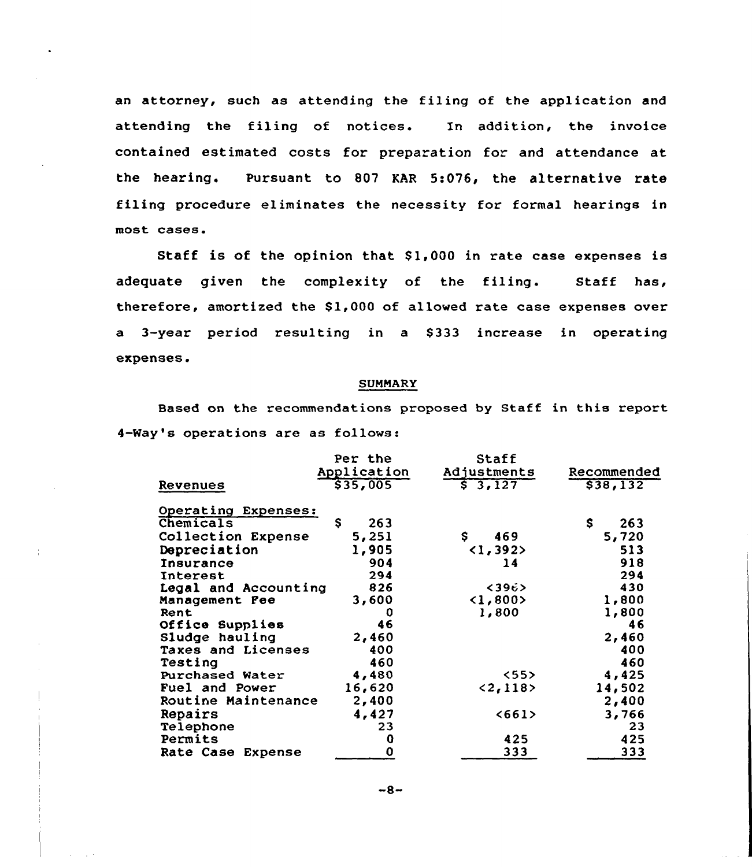an attorney, such as attending the filing of the application and attending the filing of notices. In addition, the invoice contained estimated costs for preparation for and attendance at the hearing. Pursuant to 807 KAR 5:076, the alternative rate filing procedure eliminates the necessity for formal hearings in most cases.

Staff is of the opinion that \$1,000 in rate case expenses is adequate given the complexity of the filing. Staff has, therefore, amortized the \$1,000 of allowed rate case expenses over a 3-year period resulting in a \$333 increase in operating expenses.

### SUMMARY

Based on the recommendations proposed by Staff in this report 4-Way's operations are as follows:

|                      | Per the<br>Application | Staff<br>Adjustments     | Recommended |
|----------------------|------------------------|--------------------------|-------------|
| Revenues             | \$35,005               | 53,127                   | \$38,132    |
| Operating Expenses:  |                        |                          |             |
| Chemicals            | \$<br>263              |                          | S.<br>263   |
| Collection Expense   | 5,251                  | \$<br>469                | 5,720       |
| Depreciation         | 1,905                  | $\langle 1, 392 \rangle$ | 513         |
| Insurance            | 904                    | 14                       | 918         |
| Interest             | 294                    |                          | 294         |
| Legal and Accounting | 826                    | < 396                    | 430         |
| Management Pee       | 3,600                  | $1, 800>$                | 1,800       |
| Rent                 | 0                      | 1,800                    | 1,800       |
| Office Supplies      | 46                     |                          | 46          |
| Sludge hauling       | 2,460                  |                          | 2,460       |
| Taxes and Licenses   | 400                    |                          | 400         |
| Testing              | 460                    |                          | 460         |
| Purchased Water      | 4,480                  | $<55$ >                  | 4,425       |
| Fuel and Power       | 16,620                 | < 2, 118 >               | 14,502      |
| Routine Maintenance  | 2,400                  |                          | 2,400       |
| Repairs              | 4,427                  | <661                     | 3,766       |
| Telephone            | 23                     |                          | 23          |
| Permits              | o                      | 425                      | 425         |
| Rate Case Expense    | 0                      | 333                      | 333         |

 $-8-$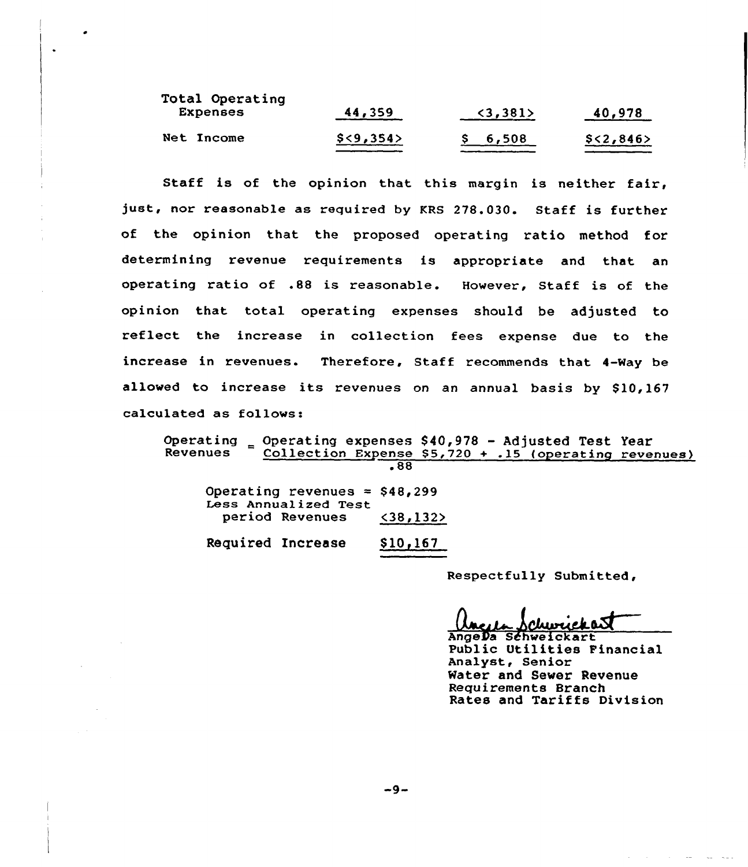| Total Operating<br><b>Expenses</b> | 44,359    | (3, 381) | 40,978    |
|------------------------------------|-----------|----------|-----------|
| Net Income                         | \$<9,354> | \$6,508  | \$<2,846> |

Staff is of the opinion that this margin is neither fair, just, nor reasonable as required by KRS 278.030. Staff is further of the opinion that the proposed operating ratio method for determining revenue requirements is appropriate and that an operating ratio of .88 is reasonable. However, Staff is of the opinion that total operating expenses should be adjusted to reflect the increase in collection fees expense due to the increase in revenues. Therefore, Staff recommends that 4-Way be allowed to increase its revenues on an annual basis by \$10,167 calculated as follows:

Operating  $\epsilon$  Operating expenses \$40,978 - Adjusted Test Year<br>Revenues Collection Expense \$5,720 + .15 (operating reve Collection Expense  $$5,720 + .15$  (operating revenues) <sup>~</sup> 88 Operating revenues =  $$48,299$ Less Annualized Test period Revenues <38,132>

|  | Required Increase | \$10,167 |
|--|-------------------|----------|
|--|-------------------|----------|

Respectfully Submitted,

AngeQa Sdhweickart Public Otilities Financial Analyst, Senior Water and Sewer Revenue Requirements Branch Rates and Tariffs Division